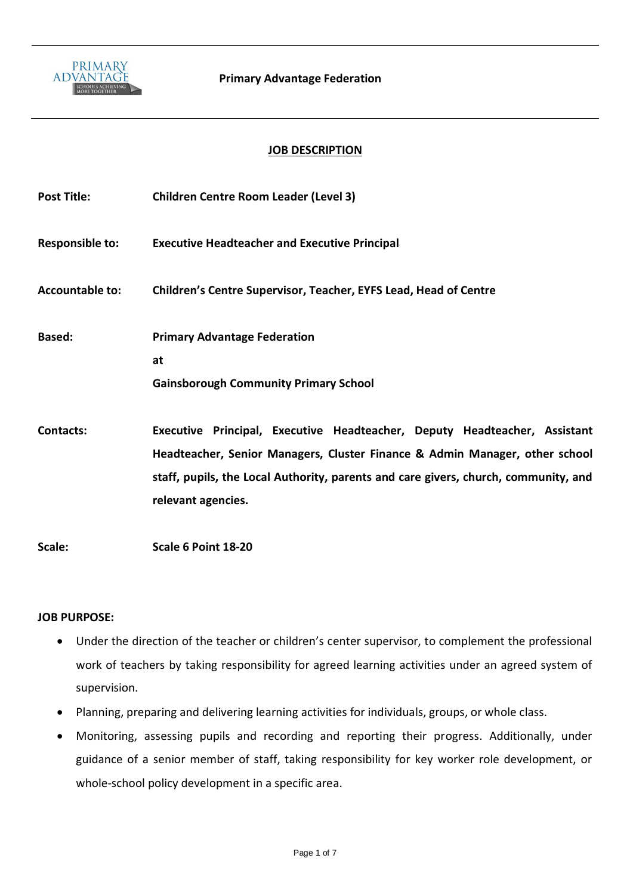

#### **JOB DESCRIPTION**

| <b>Post Title:</b>     | <b>Children Centre Room Leader (Level 3)</b>                                                                                                                                                                                                                          |
|------------------------|-----------------------------------------------------------------------------------------------------------------------------------------------------------------------------------------------------------------------------------------------------------------------|
| <b>Responsible to:</b> | <b>Executive Headteacher and Executive Principal</b>                                                                                                                                                                                                                  |
| <b>Accountable to:</b> | <b>Children's Centre Supervisor, Teacher, EYFS Lead, Head of Centre</b>                                                                                                                                                                                               |
| Based:                 | <b>Primary Advantage Federation</b><br>at<br><b>Gainsborough Community Primary School</b>                                                                                                                                                                             |
| Contacts:              | Executive Principal, Executive Headteacher, Deputy Headteacher, Assistant<br>Headteacher, Senior Managers, Cluster Finance & Admin Manager, other school<br>staff, pupils, the Local Authority, parents and care givers, church, community, and<br>relevant agencies. |
| Scale:                 | Scale 6 Point 18-20                                                                                                                                                                                                                                                   |

#### **JOB PURPOSE:**

- Under the direction of the teacher or children's center supervisor, to complement the professional work of teachers by taking responsibility for agreed learning activities under an agreed system of supervision.
- Planning, preparing and delivering learning activities for individuals, groups, or whole class.
- Monitoring, assessing pupils and recording and reporting their progress. Additionally, under guidance of a senior member of staff, taking responsibility for key worker role development, or whole-school policy development in a specific area.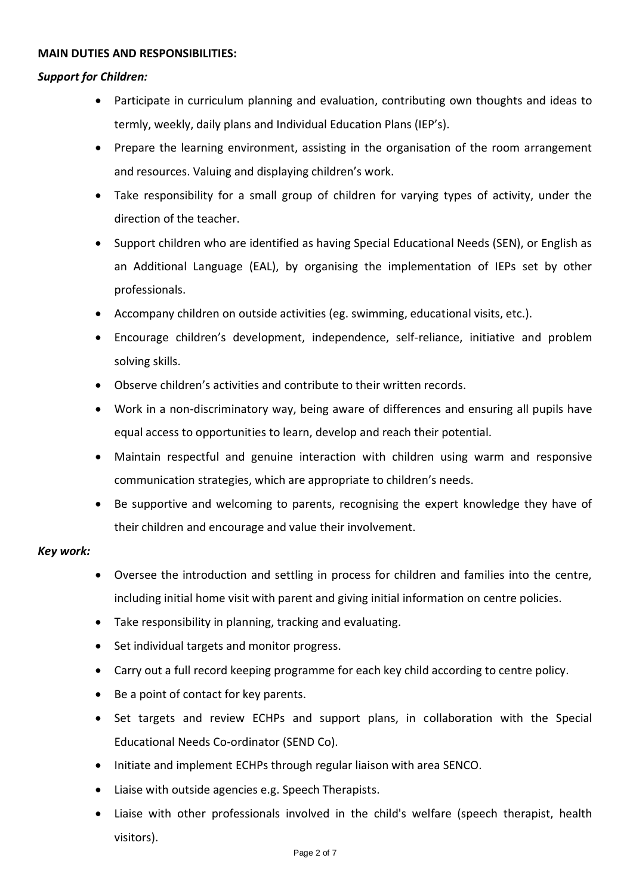#### **MAIN DUTIES AND RESPONSIBILITIES:**

# *Support for Children:*

- Participate in curriculum planning and evaluation, contributing own thoughts and ideas to termly, weekly, daily plans and Individual Education Plans (IEP's).
- Prepare the learning environment, assisting in the organisation of the room arrangement and resources. Valuing and displaying children's work.
- Take responsibility for a small group of children for varying types of activity, under the direction of the teacher.
- Support children who are identified as having Special Educational Needs (SEN), or English as an Additional Language (EAL), by organising the implementation of IEPs set by other professionals.
- Accompany children on outside activities (eg. swimming, educational visits, etc.).
- Encourage children's development, independence, self-reliance, initiative and problem solving skills.
- Observe children's activities and contribute to their written records.
- Work in a non-discriminatory way, being aware of differences and ensuring all pupils have equal access to opportunities to learn, develop and reach their potential.
- Maintain respectful and genuine interaction with children using warm and responsive communication strategies, which are appropriate to children's needs.
- Be supportive and welcoming to parents, recognising the expert knowledge they have of their children and encourage and value their involvement.

## *Key work:*

- Oversee the introduction and settling in process for children and families into the centre, including initial home visit with parent and giving initial information on centre policies.
- Take responsibility in planning, tracking and evaluating.
- Set individual targets and monitor progress.
- Carry out a full record keeping programme for each key child according to centre policy.
- Be a point of contact for key parents.
- Set targets and review ECHPs and support plans, in collaboration with the Special Educational Needs Co-ordinator (SEND Co).
- Initiate and implement ECHPs through regular liaison with area SENCO.
- Liaise with outside agencies e.g. Speech Therapists.
- Liaise with other professionals involved in the child's welfare (speech therapist, health visitors).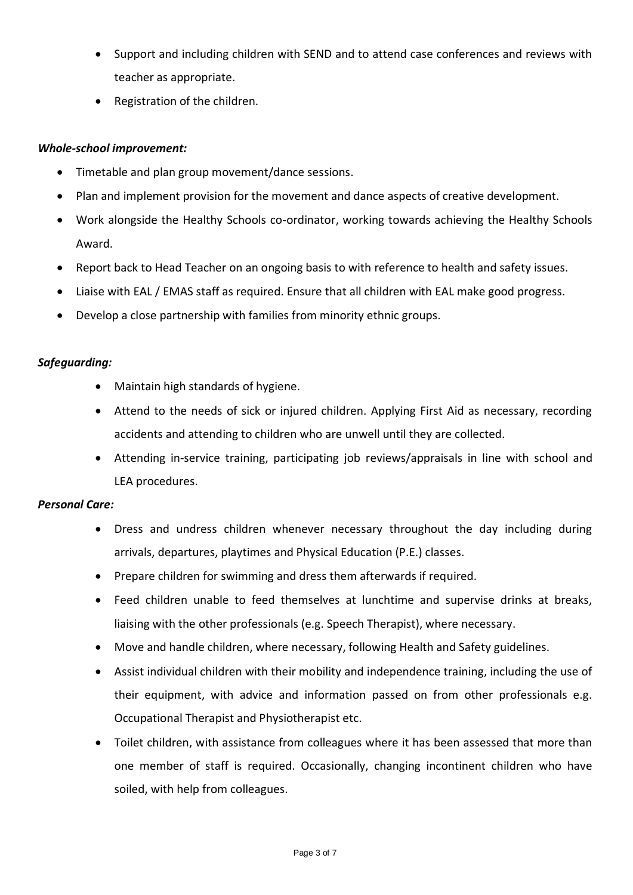- Support and including children with SEND and to attend case conferences and reviews with teacher as appropriate.
- Registration of the children.

## *Whole-school improvement:*

- Timetable and plan group movement/dance sessions.
- Plan and implement provision for the movement and dance aspects of creative development.
- Work alongside the Healthy Schools co-ordinator, working towards achieving the Healthy Schools Award.
- Report back to Head Teacher on an ongoing basis to with reference to health and safety issues.
- Liaise with EAL / EMAS staff as required. Ensure that all children with EAL make good progress.
- Develop a close partnership with families from minority ethnic groups.

## *Safeguarding:*

- Maintain high standards of hygiene.
- Attend to the needs of sick or injured children. Applying First Aid as necessary, recording accidents and attending to children who are unwell until they are collected.
- Attending in-service training, participating job reviews/appraisals in line with school and LEA procedures.

#### *Personal Care:*

- Dress and undress children whenever necessary throughout the day including during arrivals, departures, playtimes and Physical Education (P.E.) classes.
- Prepare children for swimming and dress them afterwards if required.
- Feed children unable to feed themselves at lunchtime and supervise drinks at breaks, liaising with the other professionals (e.g. Speech Therapist), where necessary.
- Move and handle children, where necessary, following Health and Safety guidelines.
- Assist individual children with their mobility and independence training, including the use of their equipment, with advice and information passed on from other professionals e.g. Occupational Therapist and Physiotherapist etc.
- Toilet children, with assistance from colleagues where it has been assessed that more than one member of staff is required. Occasionally, changing incontinent children who have soiled, with help from colleagues.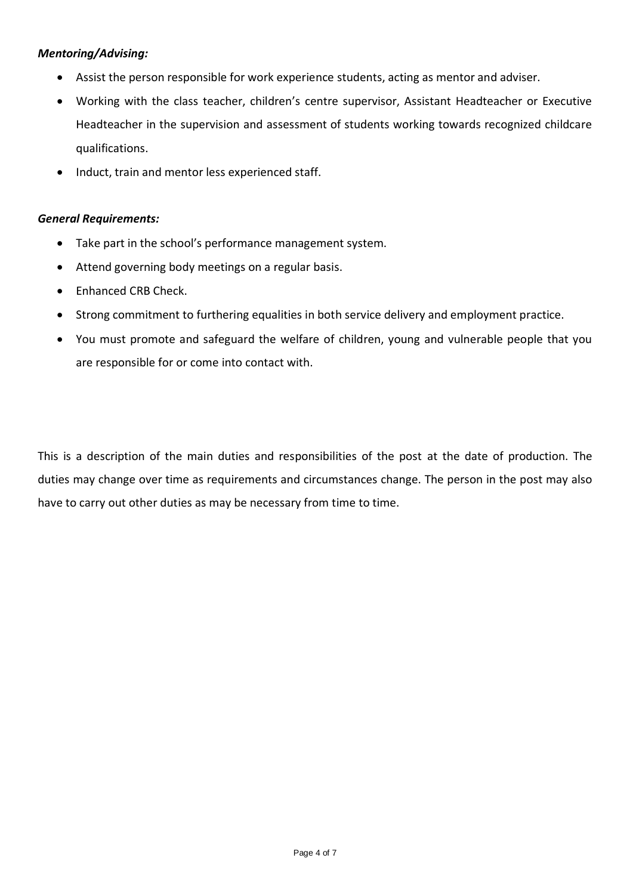## *Mentoring/Advising:*

- Assist the person responsible for work experience students, acting as mentor and adviser.
- Working with the class teacher, children's centre supervisor, Assistant Headteacher or Executive Headteacher in the supervision and assessment of students working towards recognized childcare qualifications.
- Induct, train and mentor less experienced staff.

#### *General Requirements:*

- Take part in the school's performance management system.
- Attend governing body meetings on a regular basis.
- Enhanced CRB Check.
- Strong commitment to furthering equalities in both service delivery and employment practice.
- You must promote and safeguard the welfare of children, young and vulnerable people that you are responsible for or come into contact with.

This is a description of the main duties and responsibilities of the post at the date of production. The duties may change over time as requirements and circumstances change. The person in the post may also have to carry out other duties as may be necessary from time to time.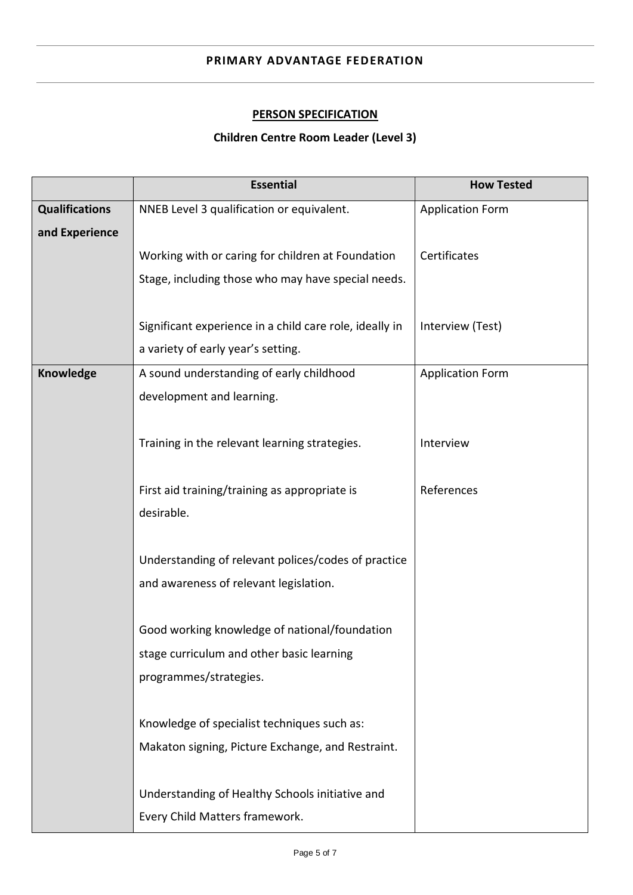#### **PRIMARY ADVANTAGE FEDERATION**

# **PERSON SPECIFICATION**

# **Children Centre Room Leader (Level 3)**

|                       | <b>Essential</b>                                        | <b>How Tested</b>       |
|-----------------------|---------------------------------------------------------|-------------------------|
| <b>Qualifications</b> | NNEB Level 3 qualification or equivalent.               | <b>Application Form</b> |
| and Experience        |                                                         |                         |
|                       | Working with or caring for children at Foundation       | Certificates            |
|                       | Stage, including those who may have special needs.      |                         |
|                       |                                                         |                         |
|                       | Significant experience in a child care role, ideally in | Interview (Test)        |
|                       | a variety of early year's setting.                      |                         |
| Knowledge             | A sound understanding of early childhood                | <b>Application Form</b> |
|                       | development and learning.                               |                         |
|                       |                                                         |                         |
|                       | Training in the relevant learning strategies.           | Interview               |
|                       |                                                         |                         |
|                       | First aid training/training as appropriate is           | References              |
|                       | desirable.                                              |                         |
|                       |                                                         |                         |
|                       | Understanding of relevant polices/codes of practice     |                         |
|                       | and awareness of relevant legislation.                  |                         |
|                       |                                                         |                         |
|                       | Good working knowledge of national/foundation           |                         |
|                       | stage curriculum and other basic learning               |                         |
|                       | programmes/strategies.                                  |                         |
|                       |                                                         |                         |
|                       | Knowledge of specialist techniques such as:             |                         |
|                       | Makaton signing, Picture Exchange, and Restraint.       |                         |
|                       |                                                         |                         |
|                       | Understanding of Healthy Schools initiative and         |                         |
|                       | Every Child Matters framework.                          |                         |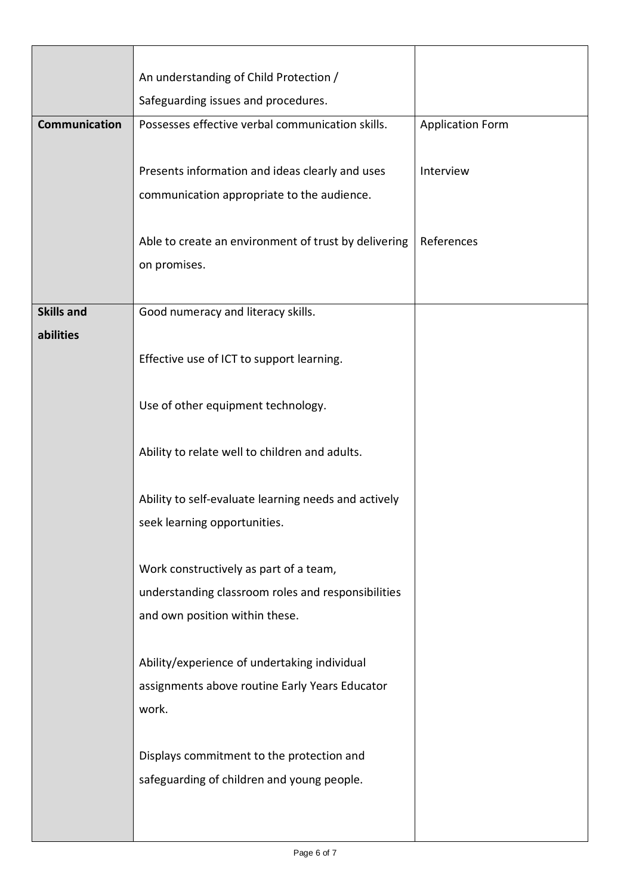|                      | An understanding of Child Protection /                                                       |                         |
|----------------------|----------------------------------------------------------------------------------------------|-------------------------|
|                      | Safeguarding issues and procedures.                                                          |                         |
| <b>Communication</b> | Possesses effective verbal communication skills.                                             | <b>Application Form</b> |
|                      |                                                                                              |                         |
|                      | Presents information and ideas clearly and uses                                              | Interview               |
|                      | communication appropriate to the audience.                                                   |                         |
|                      |                                                                                              |                         |
|                      | Able to create an environment of trust by delivering                                         | References              |
|                      | on promises.                                                                                 |                         |
|                      |                                                                                              |                         |
| <b>Skills and</b>    | Good numeracy and literacy skills.                                                           |                         |
| abilities            |                                                                                              |                         |
|                      | Effective use of ICT to support learning.                                                    |                         |
|                      |                                                                                              |                         |
|                      | Use of other equipment technology.                                                           |                         |
|                      |                                                                                              |                         |
|                      | Ability to relate well to children and adults.                                               |                         |
|                      |                                                                                              |                         |
|                      | Ability to self-evaluate learning needs and actively                                         |                         |
|                      | seek learning opportunities.                                                                 |                         |
|                      |                                                                                              |                         |
|                      | Work constructively as part of a team,<br>understanding classroom roles and responsibilities |                         |
|                      | and own position within these.                                                               |                         |
|                      |                                                                                              |                         |
|                      | Ability/experience of undertaking individual                                                 |                         |
|                      | assignments above routine Early Years Educator                                               |                         |
|                      | work.                                                                                        |                         |
|                      |                                                                                              |                         |
|                      | Displays commitment to the protection and                                                    |                         |
|                      | safeguarding of children and young people.                                                   |                         |
|                      |                                                                                              |                         |
|                      |                                                                                              |                         |
|                      |                                                                                              |                         |